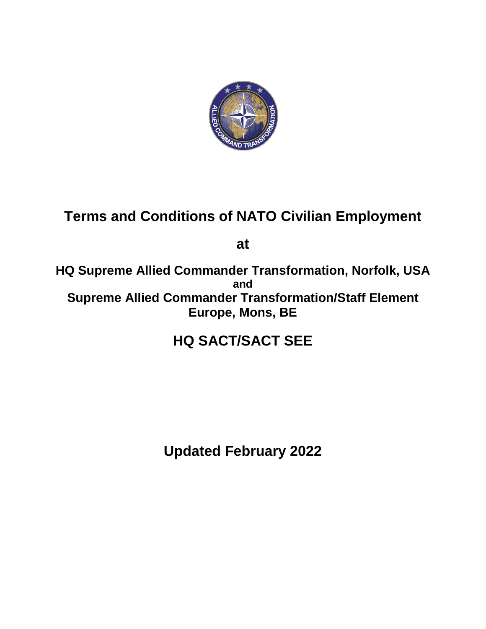

# **Terms and Conditions of NATO Civilian Employment**

**at** 

**HQ Supreme Allied Commander Transformation, Norfolk, USA and Supreme Allied Commander Transformation/Staff Element Europe, Mons, BE**

# **HQ SACT/SACT SEE**

**Updated February 2022**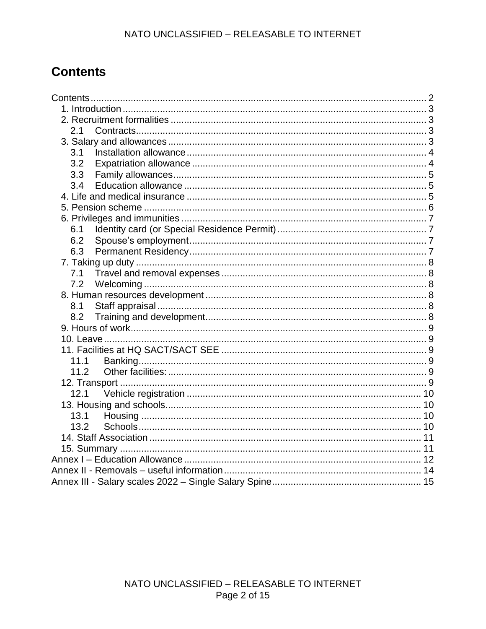# <span id="page-1-0"></span>**Contents**

| 2.1  |  |
|------|--|
|      |  |
| 3.1  |  |
| 3.2  |  |
| 3.3  |  |
| 3.4  |  |
|      |  |
|      |  |
|      |  |
| 6.1  |  |
| 6.2  |  |
|      |  |
|      |  |
|      |  |
|      |  |
|      |  |
| 8.1  |  |
| 8.2  |  |
|      |  |
|      |  |
|      |  |
| 11.1 |  |
| 11.2 |  |
|      |  |
| 12.1 |  |
|      |  |
| 13.1 |  |
| 13.2 |  |
|      |  |
|      |  |
|      |  |
|      |  |
|      |  |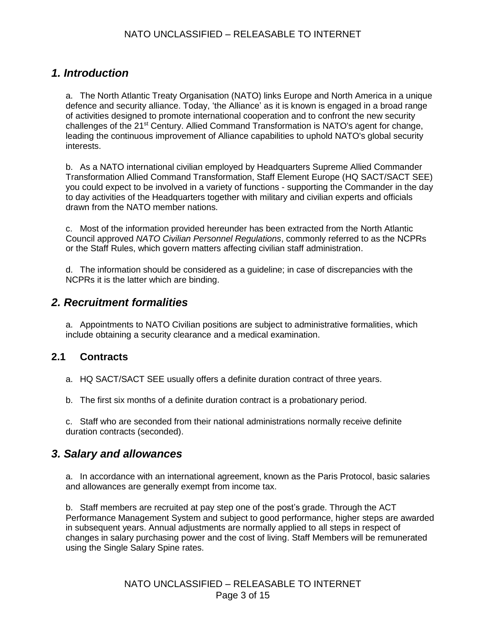### <span id="page-2-0"></span>*1. Introduction*

a. The North Atlantic Treaty Organisation (NATO) links Europe and North America in a unique defence and security alliance. Today, 'the Alliance' as it is known is engaged in a broad range of activities designed to promote international cooperation and to confront the new security challenges of the 21st Century. Allied Command Transformation is NATO's agent for change, leading the continuous improvement of Alliance capabilities to uphold NATO's global security interests.

b. As a NATO international civilian employed by Headquarters Supreme Allied Commander Transformation Allied Command Transformation, Staff Element Europe (HQ SACT/SACT SEE) you could expect to be involved in a variety of functions - supporting the Commander in the day to day activities of the Headquarters together with military and civilian experts and officials drawn from the NATO member nations.

c. Most of the information provided hereunder has been extracted from the North Atlantic Council approved *NATO Civilian Personnel Regulations*, commonly referred to as the NCPRs or the Staff Rules, which govern matters affecting civilian staff administration.

d. The information should be considered as a guideline; in case of discrepancies with the NCPRs it is the latter which are binding.

#### <span id="page-2-1"></span>*2. Recruitment formalities*

a. Appointments to NATO Civilian positions are subject to administrative formalities, which include obtaining a security clearance and a medical examination.

#### <span id="page-2-2"></span>**2.1 Contracts**

- a. HQ SACT/SACT SEE usually offers a definite duration contract of three years.
- b. The first six months of a definite duration contract is a probationary period.

<span id="page-2-3"></span>c. Staff who are seconded from their national administrations normally receive definite duration contracts (seconded).

#### *3. Salary and allowances*

a. In accordance with an international agreement, known as the Paris Protocol, basic salaries and allowances are generally exempt from income tax.

b. Staff members are recruited at pay step one of the post's grade. Through the ACT Performance Management System and subject to good performance, higher steps are awarded in subsequent years. Annual adjustments are normally applied to all steps in respect of changes in salary purchasing power and the cost of living. Staff Members will be remunerated using the Single Salary Spine rates.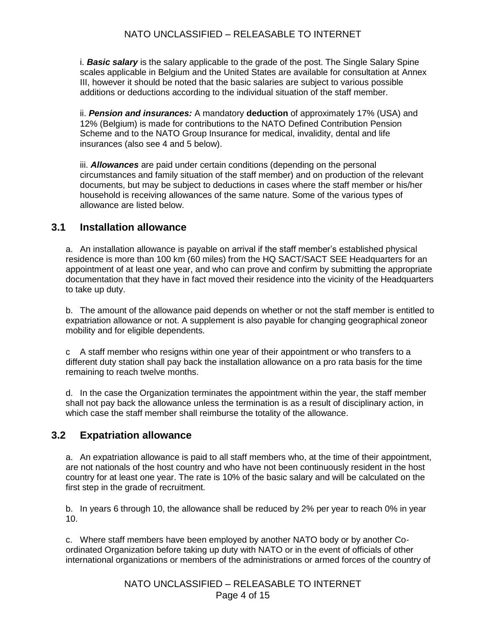i. *Basic salary* is the salary applicable to the grade of the post. The Single Salary Spine scales applicable in Belgium and the United States are available for consultation at Annex III, however it should be noted that the basic salaries are subject to various possible additions or deductions according to the individual situation of the staff member.

ii. *Pension and insurances:* A mandatory **deduction** of approximately 17% (USA) and 12% (Belgium) is made for contributions to the NATO Defined Contribution Pension Scheme and to the NATO Group Insurance for medical, invalidity, dental and life insurances (also see 4 and 5 below).

iii. *Allowances* are paid under certain conditions (depending on the personal circumstances and family situation of the staff member) and on production of the relevant documents, but may be subject to deductions in cases where the staff member or his/her household is receiving allowances of the same nature. Some of the various types of allowance are listed below.

#### <span id="page-3-0"></span>**3.1 Installation allowance**

a. An installation allowance is payable on arrival if the staff member's established physical residence is more than 100 km (60 miles) from the HQ SACT/SACT SEE Headquarters for an appointment of at least one year, and who can prove and confirm by submitting the appropriate documentation that they have in fact moved their residence into the vicinity of the Headquarters to take up duty.

b. The amount of the allowance paid depends on whether or not the staff member is entitled to expatriation allowance or not. A supplement is also payable for changing geographical zoneor mobility and for eligible dependents.

c A staff member who resigns within one year of their appointment or who transfers to a different duty station shall pay back the installation allowance on a pro rata basis for the time remaining to reach twelve months.

d. In the case the Organization terminates the appointment within the year, the staff member shall not pay back the allowance unless the termination is as a result of disciplinary action, in which case the staff member shall reimburse the totality of the allowance.

#### <span id="page-3-1"></span>**3.2 Expatriation allowance**

a. An expatriation allowance is paid to all staff members who, at the time of their appointment, are not nationals of the host country and who have not been continuously resident in the host country for at least one year. The rate is 10% of the basic salary and will be calculated on the first step in the grade of recruitment.

b. In years 6 through 10, the allowance shall be reduced by 2% per year to reach 0% in year 10.

c. Where staff members have been employed by another NATO body or by another Coordinated Organization before taking up duty with NATO or in the event of officials of other international organizations or members of the administrations or armed forces of the country of

> NATO UNCLASSIFIED – RELEASABLE TO INTERNET Page 4 of 15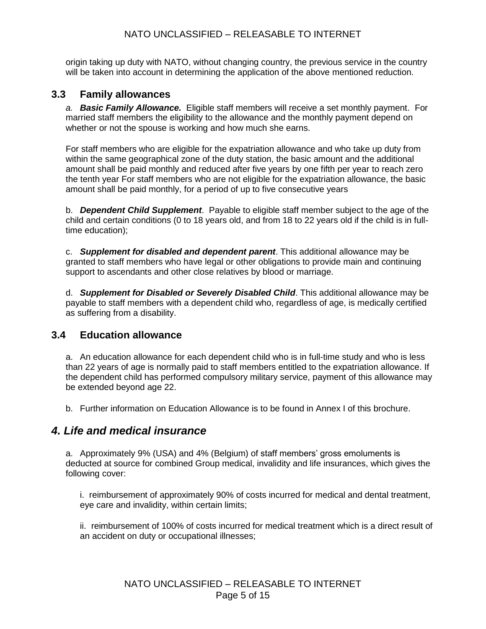#### NATO UNCLASSIFIED – RELEASABLE TO INTERNET

origin taking up duty with NATO, without changing country, the previous service in the country will be taken into account in determining the application of the above mentioned reduction.

#### <span id="page-4-1"></span><span id="page-4-0"></span>**3.3 Family allowances**

*a. Basic Family Allowance.* Eligible staff members will receive a set monthly payment. For married staff members the eligibility to the allowance and the monthly payment depend on whether or not the spouse is working and how much she earns.

For staff members who are eligible for the expatriation allowance and who take up duty from within the same geographical zone of the duty station, the basic amount and the additional amount shall be paid monthly and reduced after five years by one fifth per year to reach zero the tenth year For staff members who are not eligible for the expatriation allowance, the basic amount shall be paid monthly, for a period of up to five consecutive years

b. *Dependent Child Supplement*. Payable to eligible staff member subject to the age of the child and certain conditions (0 to 18 years old, and from 18 to 22 years old if the child is in fulltime education);

c. *Supplement for disabled and dependent parent*. This additional allowance may be granted to staff members who have legal or other obligations to provide main and continuing support to ascendants and other close relatives by blood or marriage.

d. *Supplement for Disabled or Severely Disabled Child*. This additional allowance may be payable to staff members with a dependent child who, regardless of age, is medically certified as suffering from a disability.

#### **3.4 Education allowance**

a. An education allowance for each dependent child who is in full-time study and who is less than 22 years of age is normally paid to staff members entitled to the expatriation allowance. If the dependent child has performed compulsory military service, payment of this allowance may be extended beyond age 22.

b. Further information on Education Allowance is to be found in Annex I of this brochure.

#### <span id="page-4-2"></span>*4. Life and medical insurance*

a. Approximately 9% (USA) and 4% (Belgium) of staff members' gross emoluments is deducted at source for combined Group medical, invalidity and life insurances, which gives the following cover:

i. reimbursement of approximately 90% of costs incurred for medical and dental treatment, eye care and invalidity, within certain limits;

ii. reimbursement of 100% of costs incurred for medical treatment which is a direct result of an accident on duty or occupational illnesses;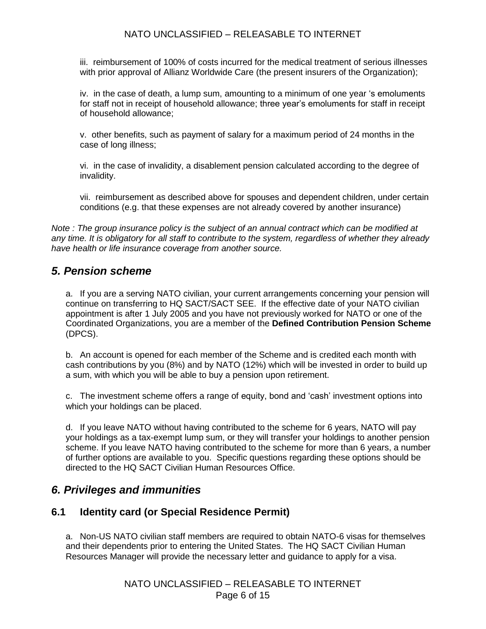#### NATO UNCLASSIFIED – RELEASABLE TO INTERNET

iii. reimbursement of 100% of costs incurred for the medical treatment of serious illnesses with prior approval of Allianz Worldwide Care (the present insurers of the Organization);

iv. in the case of death, a lump sum, amounting to a minimum of one year 's emoluments for staff not in receipt of household allowance; three year's emoluments for staff in receipt of household allowance;

v. other benefits, such as payment of salary for a maximum period of 24 months in the case of long illness;

vi. in the case of invalidity, a disablement pension calculated according to the degree of invalidity.

vii. reimbursement as described above for spouses and dependent children, under certain conditions (e.g. that these expenses are not already covered by another insurance)

*Note : The group insurance policy is the subject of an annual contract which can be modified at any time. It is obligatory for all staff to contribute to the system, regardless of whether they already have health or life insurance coverage from another source.*

#### <span id="page-5-0"></span>*5. Pension scheme*

a. If you are a serving NATO civilian, your current arrangements concerning your pension will continue on transferring to HQ SACT/SACT SEE. If the effective date of your NATO civilian appointment is after 1 July 2005 and you have not previously worked for NATO or one of the Coordinated Organizations, you are a member of the **Defined Contribution Pension Scheme** (DPCS).

b. An account is opened for each member of the Scheme and is credited each month with cash contributions by you (8%) and by NATO (12%) which will be invested in order to build up a sum, with which you will be able to buy a pension upon retirement.

c. The investment scheme offers a range of equity, bond and 'cash' investment options into which your holdings can be placed.

d. If you leave NATO without having contributed to the scheme for 6 years, NATO will pay your holdings as a tax-exempt lump sum, or they will transfer your holdings to another pension scheme. If you leave NATO having contributed to the scheme for more than 6 years, a number of further options are available to you. Specific questions regarding these options should be directed to the HQ SACT Civilian Human Resources Office.

#### <span id="page-5-1"></span>*6. Privileges and immunities*

#### <span id="page-5-2"></span>**6.1 Identity card (or Special Residence Permit)**

a. Non-US NATO civilian staff members are required to obtain NATO-6 visas for themselves and their dependents prior to entering the United States. The HQ SACT Civilian Human Resources Manager will provide the necessary letter and guidance to apply for a visa.

> NATO UNCLASSIFIED – RELEASABLE TO INTERNET Page 6 of 15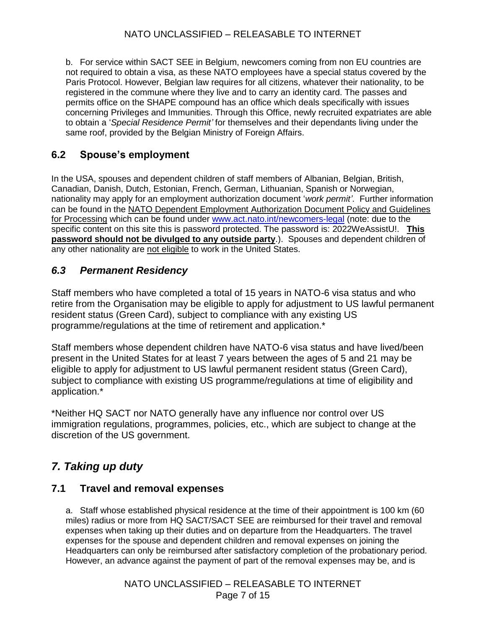b. For service within SACT SEE in Belgium, newcomers coming from non EU countries are not required to obtain a visa, as these NATO employees have a special status covered by the Paris Protocol. However, Belgian law requires for all citizens, whatever their nationality, to be registered in the commune where they live and to carry an identity card. The passes and permits office on the SHAPE compound has an office which deals specifically with issues concerning Privileges and Immunities. Through this Office, newly recruited expatriates are able to obtain a '*Special Residence Permit'* for themselves and their dependants living under the same roof, provided by the Belgian Ministry of Foreign Affairs.

#### <span id="page-6-0"></span>**6.2 Spouse's employment**

In the USA, spouses and dependent children of staff members of Albanian, Belgian, British, Canadian, Danish, Dutch, Estonian, French, German, Lithuanian, Spanish or Norwegian, nationality may apply for an employment authorization document '*work permit'*. Further information can be found in the NATO Dependent Employment Authorization Document Policy and Guidelines for Processing which can be found under [www.act.nato.int/newcomers-legal](http://www.act.nato.int/newcomers-legal) (note: due to the specific content on this site this is password protected. The password is: 2022WeAssistU!. **This password should not be divulged to any outside party**.). Spouses and dependent children of any other nationality are not eligible to work in the United States.

#### *6.3 Permanent Residency*

Staff members who have completed a total of 15 years in NATO-6 visa status and who retire from the Organisation may be eligible to apply for adjustment to US lawful permanent resident status (Green Card), subject to compliance with any existing US programme/regulations at the time of retirement and application.\*

Staff members whose dependent children have NATO-6 visa status and have lived/been present in the United States for at least 7 years between the ages of 5 and 21 may be eligible to apply for adjustment to US lawful permanent resident status (Green Card), subject to compliance with existing US programme/regulations at time of eligibility and application.\*

\*Neither HQ SACT nor NATO generally have any influence nor control over US immigration regulations, programmes, policies, etc., which are subject to change at the discretion of the US government.

## <span id="page-6-1"></span>*7. Taking up duty*

#### <span id="page-6-2"></span>**7.1 Travel and removal expenses**

a. Staff whose established physical residence at the time of their appointment is 100 km (60 miles) radius or more from HQ SACT/SACT SEE are reimbursed for their travel and removal expenses when taking up their duties and on departure from the Headquarters. The travel expenses for the spouse and dependent children and removal expenses on joining the Headquarters can only be reimbursed after satisfactory completion of the probationary period. However, an advance against the payment of part of the removal expenses may be, and is

> NATO UNCLASSIFIED – RELEASABLE TO INTERNET Page 7 of 15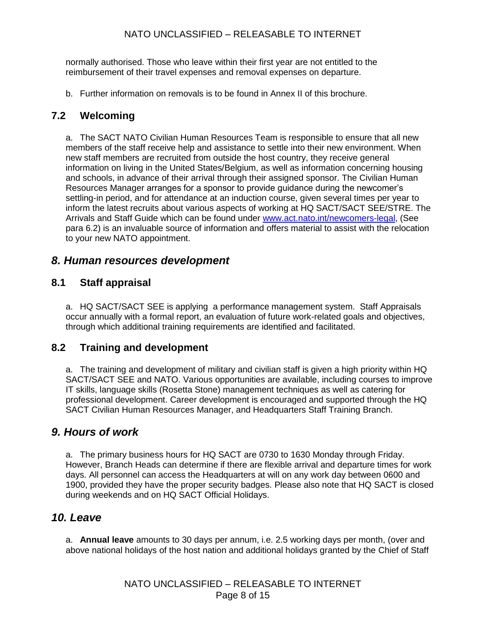normally authorised. Those who leave within their first year are not entitled to the reimbursement of their travel expenses and removal expenses on departure.

b. Further information on removals is to be found in Annex II of this brochure.

#### <span id="page-7-0"></span>**7.2 Welcoming**

a. The SACT NATO Civilian Human Resources Team is responsible to ensure that all new members of the staff receive help and assistance to settle into their new environment. When new staff members are recruited from outside the host country, they receive general information on living in the United States/Belgium, as well as information concerning housing and schools, in advance of their arrival through their assigned sponsor. The Civilian Human Resources Manager arranges for a sponsor to provide guidance during the newcomer's settling-in period, and for attendance at an induction course, given several times per year to inform the latest recruits about various aspects of working at HQ SACT/SACT SEE/STRE. The Arrivals and Staff Guide which can be found under [www.act.nato.int/newcomers-legal,](http://www.act.nato.int/newcomers-legal) (See para 6.2) is an invaluable source of information and offers material to assist with the relocation to your new NATO appointment.

#### <span id="page-7-1"></span>*8. Human resources development*

#### <span id="page-7-2"></span>**8.1 Staff appraisal**

a. HQ SACT/SACT SEE is applying a performance management system. Staff Appraisals occur annually with a formal report, an evaluation of future work-related goals and objectives, through which additional training requirements are identified and facilitated.

#### <span id="page-7-3"></span>**8.2 Training and development**

a. The training and development of military and civilian staff is given a high priority within HQ SACT/SACT SEE and NATO. Various opportunities are available, including courses to improve IT skills, language skills (Rosetta Stone) management techniques as well as catering for professional development. Career development is encouraged and supported through the HQ SACT Civilian Human Resources Manager, and Headquarters Staff Training Branch.

#### <span id="page-7-4"></span>*9. Hours of work*

a. The primary business hours for HQ SACT are 0730 to 1630 Monday through Friday. However, Branch Heads can determine if there are flexible arrival and departure times for work days. All personnel can access the Headquarters at will on any work day between 0600 and 1900, provided they have the proper security badges. Please also note that HQ SACT is closed during weekends and on HQ SACT Official Holidays.

#### <span id="page-7-5"></span>*10. Leave*

a. **Annual leave** amounts to 30 days per annum, i.e. 2.5 working days per month, (over and above national holidays of the host nation and additional holidays granted by the Chief of Staff

> NATO UNCLASSIFIED – RELEASABLE TO INTERNET Page 8 of 15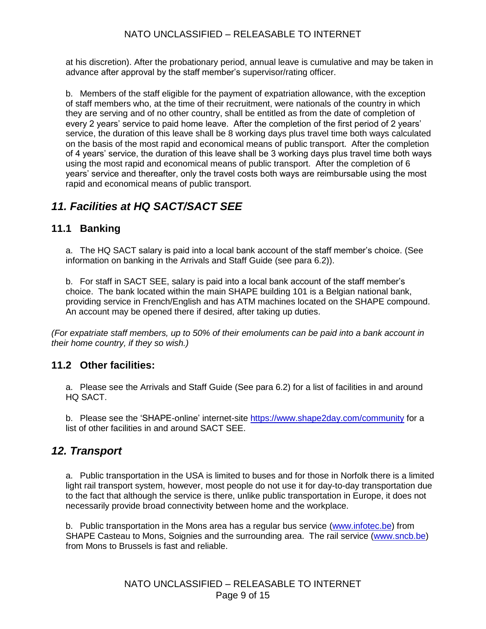at his discretion). After the probationary period, annual leave is cumulative and may be taken in advance after approval by the staff member's supervisor/rating officer.

b. Members of the staff eligible for the payment of expatriation allowance, with the exception of staff members who, at the time of their recruitment, were nationals of the country in which they are serving and of no other country, shall be entitled as from the date of completion of every 2 years' service to paid home leave. After the completion of the first period of 2 years' service, the duration of this leave shall be 8 working days plus travel time both ways calculated on the basis of the most rapid and economical means of public transport. After the completion of 4 years' service, the duration of this leave shall be 3 working days plus travel time both ways using the most rapid and economical means of public transport. After the completion of 6 years' service and thereafter, only the travel costs both ways are reimbursable using the most rapid and economical means of public transport.

## <span id="page-8-0"></span>*11. Facilities at HQ SACT/SACT SEE*

### <span id="page-8-1"></span>**11.1 Banking**

a. The HQ SACT salary is paid into a local bank account of the staff member's choice. (See information on banking in the Arrivals and Staff Guide (see para 6.2)).

b. For staff in SACT SEE, salary is paid into a local bank account of the staff member's choice. The bank located within the main SHAPE building 101 is a Belgian national bank, providing service in French/English and has ATM machines located on the SHAPE compound. An account may be opened there if desired, after taking up duties.

*(For expatriate staff members, up to 50% of their emoluments can be paid into a bank account in their home country, if they so wish.)* 

#### <span id="page-8-2"></span>**11.2 Other facilities:**

a. Please see the Arrivals and Staff Guide (See para 6.2) for a list of facilities in and around HQ SACT.

b. Please see the 'SHAPE-online' internet-site <https://www.shape2day.com/community> for a list of other facilities in and around SACT SEE.

## <span id="page-8-3"></span>*12. Transport*

a. Public transportation in the USA is limited to buses and for those in Norfolk there is a limited light rail transport system, however, most people do not use it for day-to-day transportation due to the fact that although the service is there, unlike public transportation in Europe, it does not necessarily provide broad connectivity between home and the workplace.

b. Public transportation in the Mons area has a regular bus service [\(www.infotec.be\)](http://www.infotec.be/) from SHAPE Casteau to Mons, Soignies and the surrounding area. The rail service [\(www.sncb.be\)](http://www.sncb.be/) from Mons to Brussels is fast and reliable.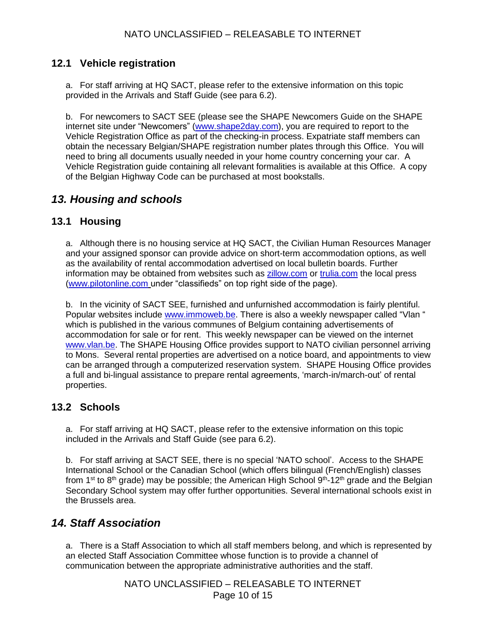#### <span id="page-9-0"></span>**12.1 Vehicle registration**

a. For staff arriving at HQ SACT, please refer to the extensive information on this topic provided in the Arrivals and Staff Guide (see para 6.2).

b. For newcomers to SACT SEE (please see the SHAPE Newcomers Guide on the SHAPE internet site under "Newcomers" [\(www.shape2day.com\)](https://www.shape2day.com/), you are required to report to the Vehicle Registration Office as part of the checking-in process. Expatriate staff members can obtain the necessary Belgian/SHAPE registration number plates through this Office. You will need to bring all documents usually needed in your home country concerning your car. A Vehicle Registration guide containing all relevant formalities is available at this Office. A copy of the Belgian Highway Code can be purchased at most bookstalls.

## <span id="page-9-1"></span>*13. Housing and schools*

#### <span id="page-9-2"></span>**13.1 Housing**

a. Although there is no housing service at HQ SACT, the Civilian Human Resources Manager and your assigned sponsor can provide advice on short-term accommodation options, as well as the availability of rental accommodation advertised on local bulletin boards. Further information may be obtained from websites such as [zillow.com](http://www.zillow.com/) or [trulia.com](https://www.trulia.com/) the local press [\(www.pilotonline.com](http://www.pilotonline.com/) under "classifieds" on top right side of the page).

b. In the vicinity of SACT SEE, furnished and unfurnished accommodation is fairly plentiful. Popular websites include [www.immoweb.be.](http://www.immoweb.be/) There is also a weekly newspaper called "Vlan " which is published in the various communes of Belgium containing advertisements of accommodation for sale or for rent. This weekly newspaper can be viewed on the internet [www.vlan.be.](http://www.vlan.be/) The SHAPE Housing Office provides support to NATO civilian personnel arriving to Mons. Several rental properties are advertised on a notice board, and appointments to view can be arranged through a computerized reservation system. SHAPE Housing Office provides a full and bi-lingual assistance to prepare rental agreements, 'march-in/march-out' of rental properties.

#### <span id="page-9-3"></span>**13.2 Schools**

a. For staff arriving at HQ SACT, please refer to the extensive information on this topic included in the Arrivals and Staff Guide (see para 6.2).

b. For staff arriving at SACT SEE, there is no special 'NATO school'. Access to the SHAPE International School or the Canadian School (which offers bilingual (French/English) classes from 1<sup>st</sup> to 8<sup>th</sup> grade) may be possible; the American High School 9<sup>th</sup>-12<sup>th</sup> grade and the Belgian Secondary School system may offer further opportunities. Several international schools exist in the Brussels area.

## <span id="page-9-4"></span>*14. Staff Association*

a. There is a Staff Association to which all staff members belong, and which is represented by an elected Staff Association Committee whose function is to provide a channel of communication between the appropriate administrative authorities and the staff.

> NATO UNCLASSIFIED – RELEASABLE TO INTERNET Page 10 of 15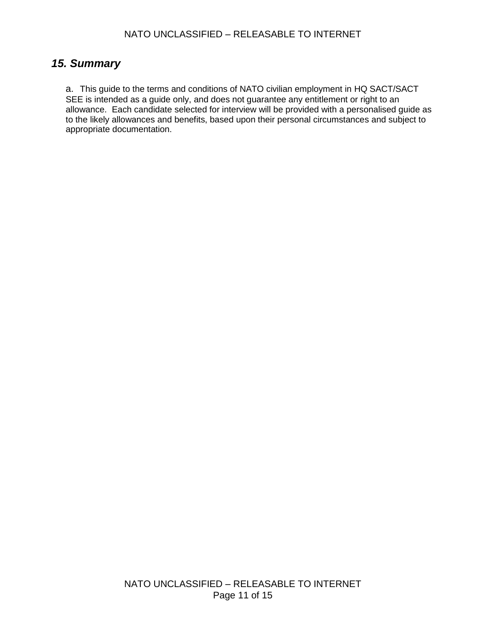### <span id="page-10-0"></span>*15. Summary*

a. This guide to the terms and conditions of NATO civilian employment in HQ SACT/SACT SEE is intended as a guide only, and does not guarantee any entitlement or right to an allowance. Each candidate selected for interview will be provided with a personalised guide as to the likely allowances and benefits, based upon their personal circumstances and subject to appropriate documentation.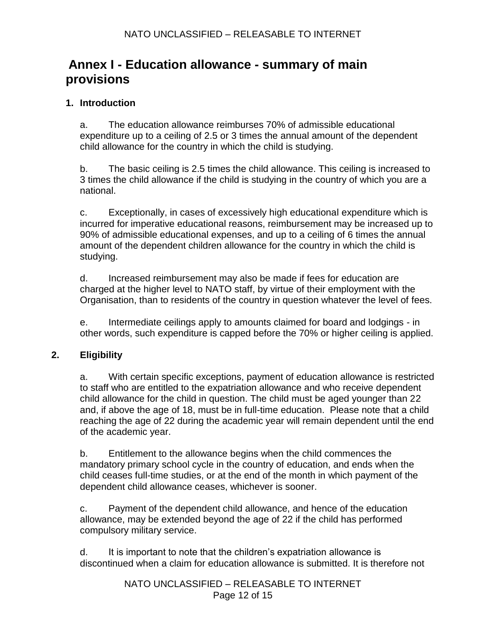## **Annex I - Education allowance - summary of main provisions**

#### **1. Introduction**

a. The education allowance reimburses 70% of admissible educational expenditure up to a ceiling of 2.5 or 3 times the annual amount of the dependent child allowance for the country in which the child is studying.

b. The basic ceiling is 2.5 times the child allowance. This ceiling is increased to 3 times the child allowance if the child is studying in the country of which you are a national.

c. Exceptionally, in cases of excessively high educational expenditure which is incurred for imperative educational reasons, reimbursement may be increased up to 90% of admissible educational expenses, and up to a ceiling of 6 times the annual amount of the dependent children allowance for the country in which the child is studying.

d. Increased reimbursement may also be made if fees for education are charged at the higher level to NATO staff, by virtue of their employment with the Organisation, than to residents of the country in question whatever the level of fees.

e. Intermediate ceilings apply to amounts claimed for board and lodgings - in other words, such expenditure is capped before the 70% or higher ceiling is applied.

#### **2. Eligibility**

a. With certain specific exceptions, payment of education allowance is restricted to staff who are entitled to the expatriation allowance and who receive dependent child allowance for the child in question. The child must be aged younger than 22 and, if above the age of 18, must be in full-time education. Please note that a child reaching the age of 22 during the academic year will remain dependent until the end of the academic year.

b. Entitlement to the allowance begins when the child commences the mandatory primary school cycle in the country of education, and ends when the child ceases full-time studies, or at the end of the month in which payment of the dependent child allowance ceases, whichever is sooner.

c. Payment of the dependent child allowance, and hence of the education allowance, may be extended beyond the age of 22 if the child has performed compulsory military service.

d. It is important to note that the children's expatriation allowance is discontinued when a claim for education allowance is submitted. It is therefore not

> NATO UNCLASSIFIED – RELEASABLE TO INTERNET Page 12 of 15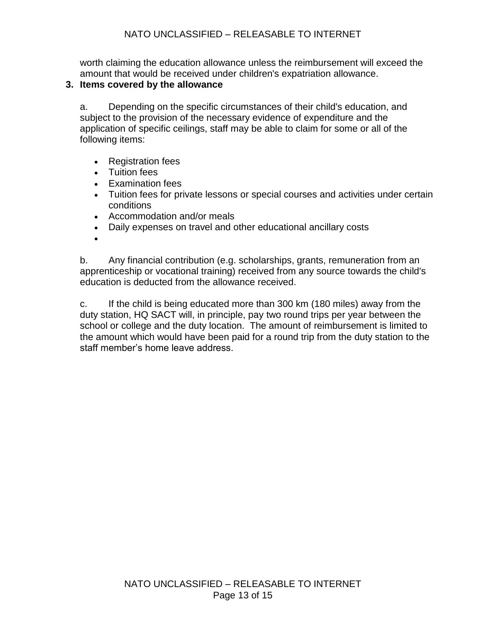worth claiming the education allowance unless the reimbursement will exceed the amount that would be received under children's expatriation allowance.

#### **3. Items covered by the allowance**

a. Depending on the specific circumstances of their child's education, and subject to the provision of the necessary evidence of expenditure and the application of specific ceilings, staff may be able to claim for some or all of the following items:

- Registration fees
- Tuition fees
- **Examination fees**
- Tuition fees for private lessons or special courses and activities under certain conditions
- Accommodation and/or meals
- Daily expenses on travel and other educational ancillary costs
- $\bullet$

b. Any financial contribution (e.g. scholarships, grants, remuneration from an apprenticeship or vocational training) received from any source towards the child's education is deducted from the allowance received.

c. If the child is being educated more than 300 km (180 miles) away from the duty station, HQ SACT will, in principle, pay two round trips per year between the school or college and the duty location. The amount of reimbursement is limited to the amount which would have been paid for a round trip from the duty station to the staff member's home leave address.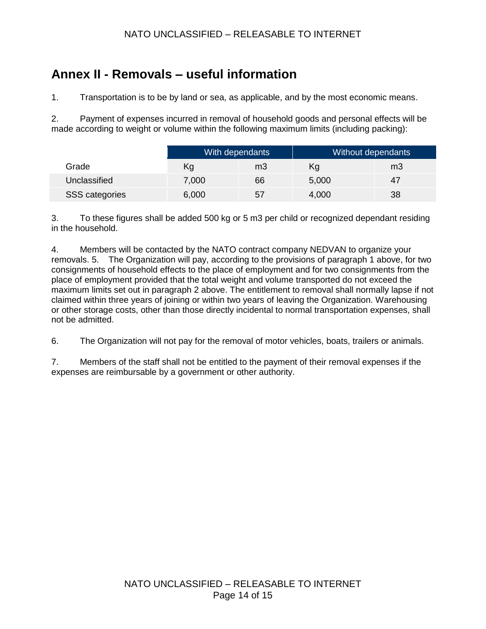#### NATO UNCLASSIFIED – RELEASABLE TO INTERNET

# <span id="page-13-0"></span>**Annex II - Removals – useful information**

1. Transportation is to be by land or sea, as applicable, and by the most economic means.

2. Payment of expenses incurred in removal of household goods and personal effects will be made according to weight or volume within the following maximum limits (including packing):

|                | With dependants |    | Without dependants |    |
|----------------|-----------------|----|--------------------|----|
| Grade          | Κg              | m3 | Κq                 | mЗ |
| Unclassified   | 7,000           | 66 | 5,000              | 47 |
| SSS categories | 6,000           | 57 | 4,000              | 38 |

3. To these figures shall be added 500 kg or 5 m3 per child or recognized dependant residing in the household.

4. Members will be contacted by the NATO contract company NEDVAN to organize your removals. 5. The Organization will pay, according to the provisions of paragraph 1 above, for two consignments of household effects to the place of employment and for two consignments from the place of employment provided that the total weight and volume transported do not exceed the maximum limits set out in paragraph 2 above. The entitlement to removal shall normally lapse if not claimed within three years of joining or within two years of leaving the Organization. Warehousing or other storage costs, other than those directly incidental to normal transportation expenses, shall not be admitted.

6. The Organization will not pay for the removal of motor vehicles, boats, trailers or animals.

7. Members of the staff shall not be entitled to the payment of their removal expenses if the expenses are reimbursable by a government or other authority.